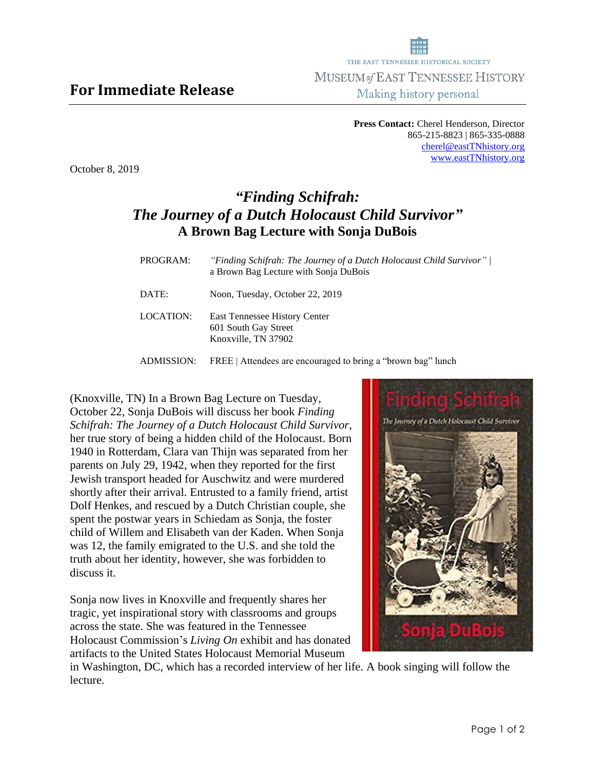**Press Contact:** Cherel Henderson, Director 865-215-8823 | 865-335-0888 [cherel@eastTNhistory.org](mailto:cherel@eastTNhistory.org) [www.eastTNhistory.org](http://www.easttnhistory.org/)

October 8, 2019

**For Immediate Release**

## *"Finding Schifrah: The Journey of a Dutch Holocaust Child Survivor"* **A Brown Bag Lecture with Sonja DuBois**

| PROGRAM:  | "Finding Schifrah: The Journey of a Dutch Holocaust Child Survivor"  <br>a Brown Bag Lecture with Sonja DuBois |
|-----------|----------------------------------------------------------------------------------------------------------------|
| DATE:     | Noon, Tuesday, October 22, 2019                                                                                |
| LOCATION: | East Tennessee History Center<br>601 South Gay Street<br>Knoxville, TN 37902                                   |

ADMISSION: FREE | Attendees are encouraged to bring a "brown bag" lunch

(Knoxville, TN) In a Brown Bag Lecture on Tuesday, October 22, Sonja DuBois will discuss her book *Finding Schifrah: The Journey of a Dutch Holocaust Child Survivor*, her true story of being a hidden child of the Holocaust. Born 1940 in Rotterdam, Clara van Thijn was separated from her parents on July 29, 1942, when they reported for the first Jewish transport headed for Auschwitz and were murdered shortly after their arrival. Entrusted to a family friend, artist Dolf Henkes, and rescued by a Dutch Christian couple, she spent the postwar years in Schiedam as Sonja, the foster child of Willem and Elisabeth van der Kaden. When Sonja was 12, the family emigrated to the U.S. and she told the truth about her identity, however, she was forbidden to discuss it.

Sonja now lives in Knoxville and frequently shares her tragic, yet inspirational story with classrooms and groups across the state. She was featured in the Tennessee Holocaust Commission's *Living On* exhibit and has donated artifacts to the United States Holocaust Memorial Museum



in Washington, DC, which has a recorded interview of her life. A book singing will follow the lecture.